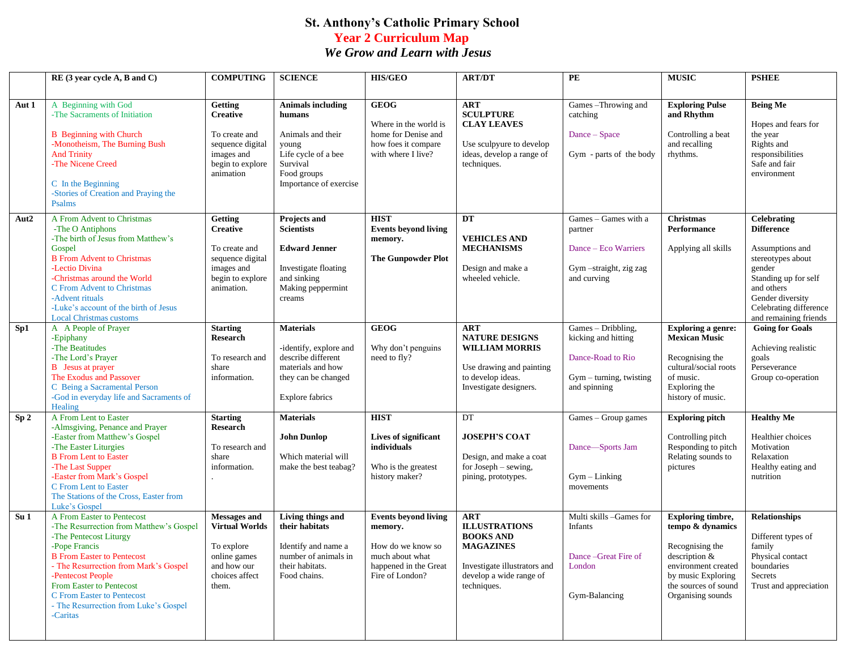## **St. Anthony's Catholic Primary School Year 2 Curriculum Map** *We Grow and Learn with Jesus*

|                  | RE (3 year cycle A, B and C)                                                                                                                                                                                                                                                                                                       | <b>COMPUTING</b>                                                                                                       | <b>SCIENCE</b>                                                                                                                               | <b>HIS/GEO</b>                                                                                                             | <b>ART/DT</b>                                                                                                                                        | PE                                                                                                        | <b>MUSIC</b>                                                                                                                                                               | <b>PSHEE</b>                                                                                                                                                                                           |
|------------------|------------------------------------------------------------------------------------------------------------------------------------------------------------------------------------------------------------------------------------------------------------------------------------------------------------------------------------|------------------------------------------------------------------------------------------------------------------------|----------------------------------------------------------------------------------------------------------------------------------------------|----------------------------------------------------------------------------------------------------------------------------|------------------------------------------------------------------------------------------------------------------------------------------------------|-----------------------------------------------------------------------------------------------------------|----------------------------------------------------------------------------------------------------------------------------------------------------------------------------|--------------------------------------------------------------------------------------------------------------------------------------------------------------------------------------------------------|
| Aut 1            | A Beginning with God<br>-The Sacraments of Initiation<br><b>B</b> Beginning with Church<br>-Monotheism, The Burning Bush<br><b>And Trinity</b><br>-The Nicene Creed<br>C In the Beginning<br>-Stories of Creation and Praying the<br>Psalms                                                                                        | Getting<br><b>Creative</b><br>To create and<br>sequence digital<br>images and<br>begin to explore<br>animation         | <b>Animals including</b><br>humans<br>Animals and their<br>young<br>Life cycle of a bee<br>Survival<br>Food groups<br>Importance of exercise | <b>GEOG</b><br>Where in the world is<br>home for Denise and<br>how foes it compare<br>with where I live?                   | <b>ART</b><br><b>SCULPTURE</b><br><b>CLAY LEAVES</b><br>Use sculpyure to develop<br>ideas, develop a range of<br>techniques.                         | Games-Throwing and<br>catching<br>Dance – Space<br>Gym - parts of the body                                | <b>Exploring Pulse</b><br>and Rhythm<br>Controlling a beat<br>and recalling<br>rhythms.                                                                                    | <b>Being Me</b><br>Hopes and fears for<br>the year<br>Rights and<br>responsibilities<br>Safe and fair<br>environment                                                                                   |
| Aut <sub>2</sub> | A From Advent to Christmas<br>-The O Antiphons<br>-The birth of Jesus from Matthew's<br>Gospel<br><b>B</b> From Advent to Christmas<br>-Lectio Divina<br>-Christmas around the World<br>C From Advent to Christmas<br>-Advent rituals<br>-Luke's account of the birth of Jesus<br><b>Local Christmas customs</b>                   | <b>Getting</b><br><b>Creative</b><br>To create and<br>sequence digital<br>images and<br>begin to explore<br>animation. | Projects and<br><b>Scientists</b><br><b>Edward Jenner</b><br>Investigate floating<br>and sinking<br>Making peppermint<br>creams              | <b>HIST</b><br><b>Events beyond living</b><br>memory.<br><b>The Gunpowder Plot</b>                                         | DT<br><b>VEHICLES AND</b><br><b>MECHANISMS</b><br>Design and make a<br>wheeled vehicle.                                                              | Games - Games with a<br>partner<br>Dance - Eco Warriers<br>Gym-straight, zig zag<br>and curving           | <b>Christmas</b><br><b>Performance</b><br>Applying all skills                                                                                                              | <b>Celebrating</b><br><b>Difference</b><br>Assumptions and<br>stereotypes about<br>gender<br>Standing up for self<br>and others<br>Gender diversity<br>Celebrating difference<br>and remaining friends |
| Sp1              | A A People of Prayer<br>-Epiphany<br>-The Beatitudes<br>-The Lord's Prayer<br><b>B</b> Jesus at prayer<br>The Exodus and Passover<br>C Being a Sacramental Person<br>-God in everyday life and Sacraments of<br>Healing                                                                                                            | <b>Starting</b><br><b>Research</b><br>To research and<br>share<br>information.                                         | <b>Materials</b><br>-identify, explore and<br>describe different<br>materials and how<br>they can be changed<br><b>Explore fabrics</b>       | <b>GEOG</b><br>Why don't penguins<br>need to fly?                                                                          | <b>ART</b><br><b>NATURE DESIGNS</b><br><b>WILLIAM MORRIS</b><br>Use drawing and painting<br>to develop ideas.<br>Investigate designers.              | Games - Dribbling,<br>kicking and hitting<br>Dance-Road to Rio<br>Gym - turning, twisting<br>and spinning | <b>Exploring a genre:</b><br><b>Mexican Music</b><br>Recognising the<br>cultural/social roots<br>of music.<br>Exploring the<br>history of music.                           | <b>Going for Goals</b><br>Achieving realistic<br>goals<br>Perseverance<br>Group co-operation                                                                                                           |
| Sp <sub>2</sub>  | A From Lent to Easter<br>-Almsgiving, Penance and Prayer<br>-Easter from Matthew's Gospel<br>-The Easter Liturgies<br><b>B</b> From Lent to Easter<br>-The Last Supper<br>-Easter from Mark's Gospel<br>C From Lent to Easter<br>The Stations of the Cross, Easter from<br>Luke's Gospel                                           | <b>Starting</b><br><b>Research</b><br>To research and<br>share<br>information.                                         | <b>Materials</b><br><b>John Dunlop</b><br>Which material will<br>make the best teabag?                                                       | <b>HIST</b><br>Lives of significant<br>individuals<br>Who is the greatest<br>history maker?                                | DT<br><b>JOSEPH'S COAT</b><br>Design, and make a coat<br>for Joseph - sewing,<br>pining, prototypes.                                                 | Games - Group games<br>Dance—Sports Jam<br>$Gym-Linking$<br>movements                                     | <b>Exploring pitch</b><br>Controlling pitch<br>Responding to pitch<br>Relating sounds to<br>pictures                                                                       | <b>Healthy Me</b><br>Healthier choices<br>Motivation<br>Relaxation<br>Healthy eating and<br>nutrition                                                                                                  |
| Su <sub>1</sub>  | A From Easter to Pentecost<br>-The Resurrection from Matthew's Gospel<br>-The Pentecost Liturgy<br>-Pope Francis<br><b>B</b> From Easter to Pentecost<br>- The Resurrection from Mark's Gospel<br>-Pentecost People<br>From Easter to Pentecost<br>C From Easter to Pentecost<br>- The Resurrection from Luke's Gospel<br>-Caritas | <b>Messages and</b><br><b>Virtual Worlds</b><br>To explore<br>online games<br>and how our<br>choices affect<br>them.   | <b>Living things and</b><br>their habitats<br>Identify and name a<br>number of animals in<br>their habitats.<br>Food chains.                 | <b>Events beyond living</b><br>memory.<br>How do we know so<br>much about what<br>happened in the Great<br>Fire of London? | <b>ART</b><br><b>ILLUSTRATIONS</b><br><b>BOOKS AND</b><br><b>MAGAZINES</b><br>Investigate illustrators and<br>develop a wide range of<br>techniques. | Multi skills - Games for<br>Infants<br>Dance-Great Fire of<br>London<br>Gym-Balancing                     | <b>Exploring timbre,</b><br>tempo & dynamics<br>Recognising the<br>description &<br>environment created<br>by music Exploring<br>the sources of sound<br>Organising sounds | <b>Relationships</b><br>Different types of<br>family<br>Physical contact<br>boundaries<br>Secrets<br>Trust and appreciation                                                                            |